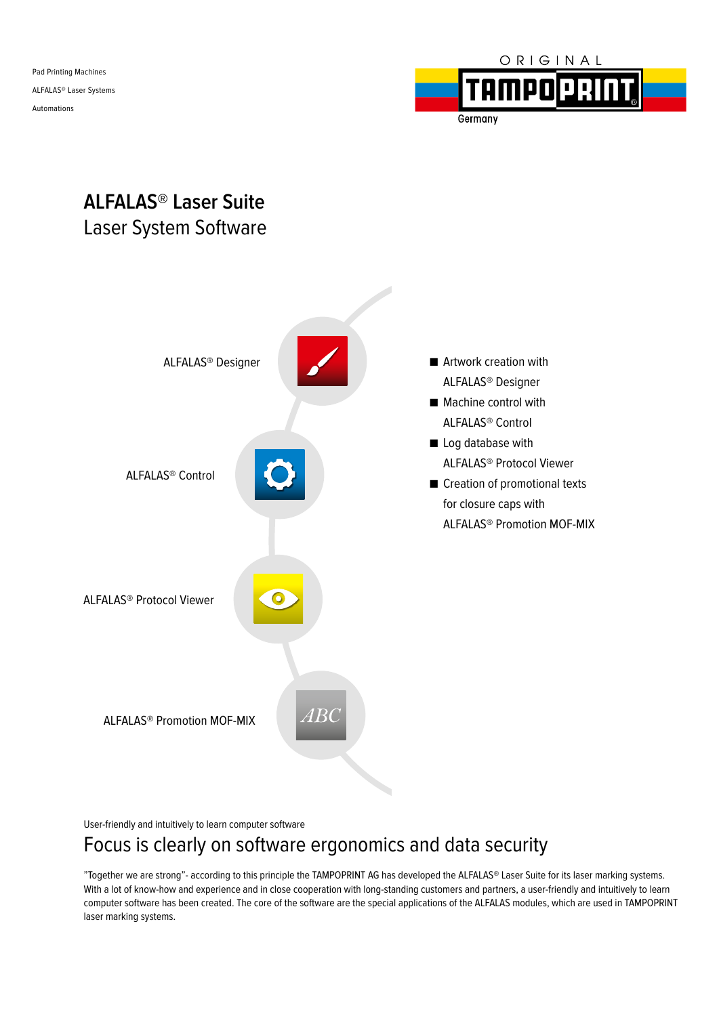Pad Printing Machines ALFALAS® Laser Systems Automations



# **ALFALAS® Laser Suite** Laser System Software



User-friendly and intuitively to learn computer software

## Focus is clearly on software ergonomics and data security

"Together we are strong"- according to this principle the TAMPOPRINT AG has developed the ALFALAS® Laser Suite for its laser marking systems. With a lot of know-how and experience and in close cooperation with long-standing customers and partners, a user-friendly and intuitively to learn computer software has been created. The core of the software are the special applications of the ALFALAS modules, which are used in TAMPOPRINT laser marking systems.